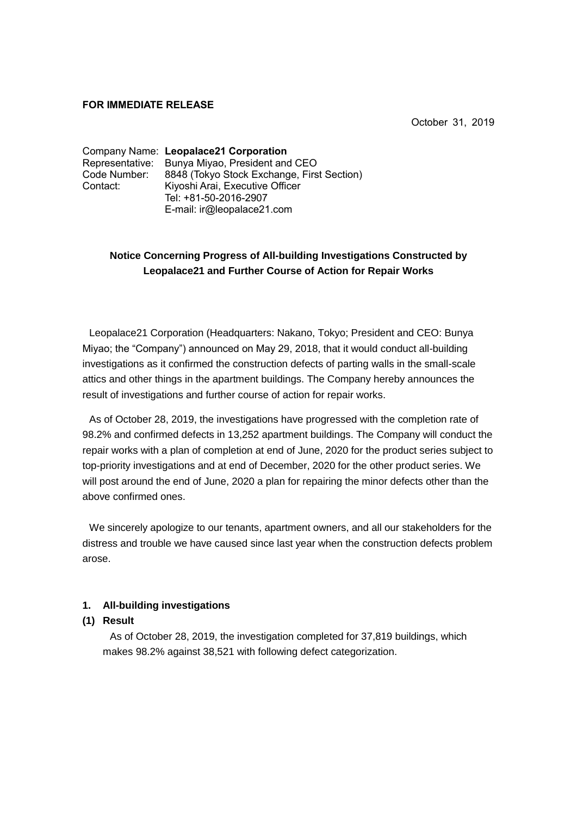#### **FOR IMMEDIATE RELEASE**

October 31, 2019

|              | Company Name: Leopalace21 Corporation          |
|--------------|------------------------------------------------|
|              | Representative: Bunya Miyao, President and CEO |
| Code Number: | 8848 (Tokyo Stock Exchange, First Section)     |
| Contact:     | Kiyoshi Arai, Executive Officer                |
|              | Tel: +81-50-2016-2907                          |
|              | E-mail: ir@leopalace21.com                     |

# **Notice Concerning Progress of All-building Investigations Constructed by Leopalace21 and Further Course of Action for Repair Works**

Leopalace21 Corporation (Headquarters: Nakano, Tokyo; President and CEO: Bunya Miyao; the "Company") announced on May 29, 2018, that it would conduct all-building investigations as it confirmed the construction defects of parting walls in the small-scale attics and other things in the apartment buildings. The Company hereby announces the result of investigations and further course of action for repair works.

As of October 28, 2019, the investigations have progressed with the completion rate of 98.2% and confirmed defects in 13,252 apartment buildings. The Company will conduct the repair works with a plan of completion at end of June, 2020 for the product series subject to top-priority investigations and at end of December, 2020 for the other product series. We will post around the end of June, 2020 a plan for repairing the minor defects other than the above confirmed ones.

We sincerely apologize to our tenants, apartment owners, and all our stakeholders for the distress and trouble we have caused since last year when the construction defects problem arose.

### **1. All-building investigations**

### **(1) Result**

As of October 28, 2019, the investigation completed for 37,819 buildings, which makes 98.2% against 38,521 with following defect categorization.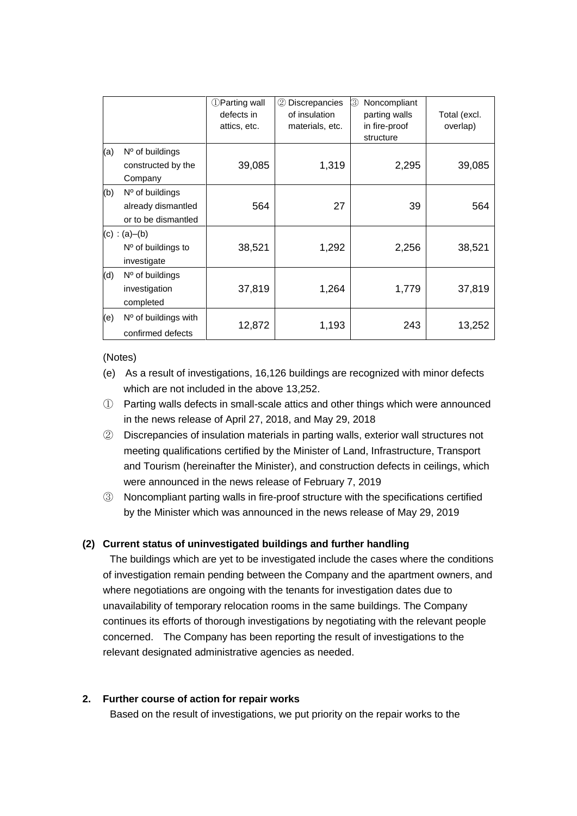|     |                                                                | <b>DParting wall</b><br>defects in<br>attics, etc. | <b>Discrepancies</b><br>(2)<br>of insulation<br>materials, etc. | ③<br>Noncompliant<br>parting walls<br>in fire-proof<br>structure | Total (excl.<br>overlap) |
|-----|----------------------------------------------------------------|----------------------------------------------------|-----------------------------------------------------------------|------------------------------------------------------------------|--------------------------|
| (a) | $No$ of buildings<br>constructed by the<br>Company             | 39,085                                             | 1,319                                                           | 2,295                                                            | 39,085                   |
| (b) | $No$ of buildings<br>already dismantled<br>or to be dismantled | 564                                                | 27                                                              | 39                                                               | 564                      |
|     | (c) : (a)–(b)<br>$No$ of buildings to<br>investigate           | 38,521                                             | 1,292                                                           | 2,256                                                            | 38,521                   |
| (d) | $No$ of buildings<br>investigation<br>completed                | 37,819                                             | 1,264                                                           | 1,779                                                            | 37,819                   |
| (e) | $No$ of buildings with<br>confirmed defects                    | 12,872                                             | 1,193                                                           | 243                                                              | 13,252                   |

(Notes)

- (e) As a result of investigations, 16,126 buildings are recognized with minor defects which are not included in the above 13,252.
- ① Parting walls defects in small-scale attics and other things which were announced in the news release of April 27, 2018, and May 29, 2018
- ② Discrepancies of insulation materials in parting walls, exterior wall structures not meeting qualifications certified by the Minister of Land, Infrastructure, Transport and Tourism (hereinafter the Minister), and construction defects in ceilings, which were announced in the news release of February 7, 2019
- ③ Noncompliant parting walls in fire-proof structure with the specifications certified by the Minister which was announced in the news release of May 29, 2019

## **(2) Current status of uninvestigated buildings and further handling**

The buildings which are yet to be investigated include the cases where the conditions of investigation remain pending between the Company and the apartment owners, and where negotiations are ongoing with the tenants for investigation dates due to unavailability of temporary relocation rooms in the same buildings. The Company continues its efforts of thorough investigations by negotiating with the relevant people concerned. The Company has been reporting the result of investigations to the relevant designated administrative agencies as needed.

### **2. Further course of action for repair works**

Based on the result of investigations, we put priority on the repair works to the